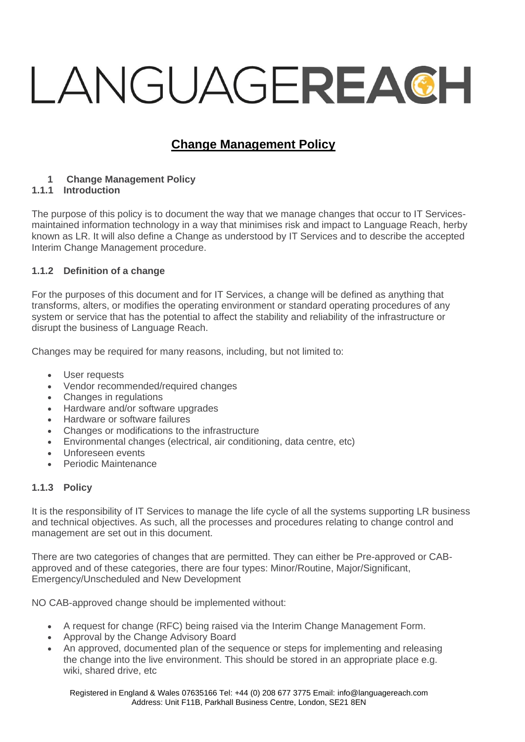# LANGUAGEREACH

# **Change Management Policy**

# **1 Change Management Policy**

# **1.1.1 Introduction**

The purpose of this policy is to document the way that we manage changes that occur to IT Servicesmaintained information technology in a way that minimises risk and impact to Language Reach, herby known as LR. It will also define a Change as understood by IT Services and to describe the accepted Interim Change Management procedure.

# **1.1.2 Definition of a change**

For the purposes of this document and for IT Services, a change will be defined as anything that transforms, alters, or modifies the operating environment or standard operating procedures of any system or service that has the potential to affect the stability and reliability of the infrastructure or disrupt the business of Language Reach.

Changes may be required for many reasons, including, but not limited to:

- User requests
- Vendor recommended/required changes
- Changes in regulations
- Hardware and/or software upgrades
- Hardware or software failures
- Changes or modifications to the infrastructure
- Environmental changes (electrical, air conditioning, data centre, etc)
- Unforeseen events
- Periodic Maintenance

# **1.1.3 Policy**

It is the responsibility of IT Services to manage the life cycle of all the systems supporting LR business and technical objectives. As such, all the processes and procedures relating to change control and management are set out in this document.

There are two categories of changes that are permitted. They can either be Pre-approved or CABapproved and of these categories, there are four types: Minor/Routine, Major/Significant, Emergency/Unscheduled and New Development

NO CAB-approved change should be implemented without:

- A request for change (RFC) being raised via the Interim Change Management Form.
- Approval by the Change Advisory Board
- An approved, documented plan of the sequence or steps for implementing and releasing the change into the live environment. This should be stored in an appropriate place e.g. wiki, shared drive, etc.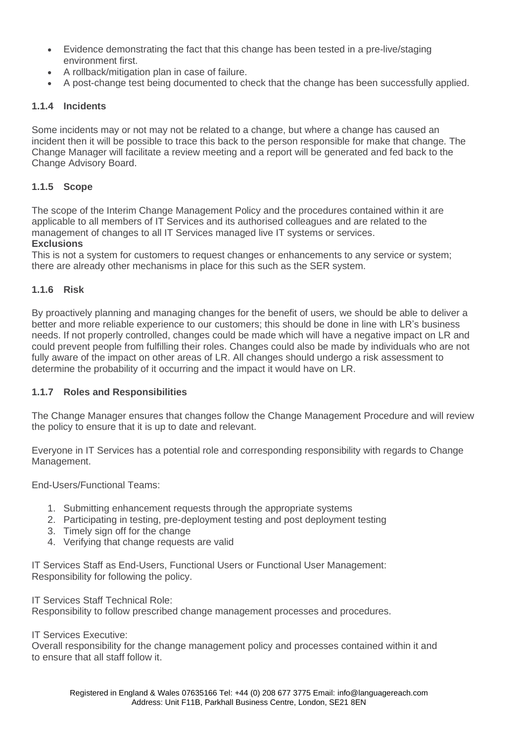- Evidence demonstrating the fact that this change has been tested in a pre-live/staging environment first.
- A rollback/mitigation plan in case of failure.
- A post-change test being documented to check that the change has been successfully applied.

### **1.1.4 Incidents**

Some incidents may or not may not be related to a change, but where a change has caused an incident then it will be possible to trace this back to the person responsible for make that change. The Change Manager will facilitate a review meeting and a report will be generated and fed back to the Change Advisory Board.

# **1.1.5 Scope**

The scope of the Interim Change Management Policy and the procedures contained within it are applicable to all members of IT Services and its authorised colleagues and are related to the management of changes to all IT Services managed live IT systems or services.

# **Exclusions**

This is not a system for customers to request changes or enhancements to any service or system; there are already other mechanisms in place for this such as the SER system.

### **1.1.6 Risk**

By proactively planning and managing changes for the benefit of users, we should be able to deliver a better and more reliable experience to our customers; this should be done in line with LR's business needs. If not properly controlled, changes could be made which will have a negative impact on LR and could prevent people from fulfilling their roles. Changes could also be made by individuals who are not fully aware of the impact on other areas of LR. All changes should undergo a risk assessment to determine the probability of it occurring and the impact it would have on LR.

### **1.1.7 Roles and Responsibilities**

The Change Manager ensures that changes follow the Change Management Procedure and will review the policy to ensure that it is up to date and relevant.

Everyone in IT Services has a potential role and corresponding responsibility with regards to Change Management.

End-Users/Functional Teams:

- 1. Submitting enhancement requests through the appropriate systems
- 2. Participating in testing, pre-deployment testing and post deployment testing
- 3. Timely sign off for the change
- 4. Verifying that change requests are valid

IT Services Staff as End-Users, Functional Users or Functional User Management: Responsibility for following the policy.

IT Services Staff Technical Role:

Responsibility to follow prescribed change management processes and procedures.

IT Services Executive:

Overall responsibility for the change management policy and processes contained within it and to ensure that all staff follow it.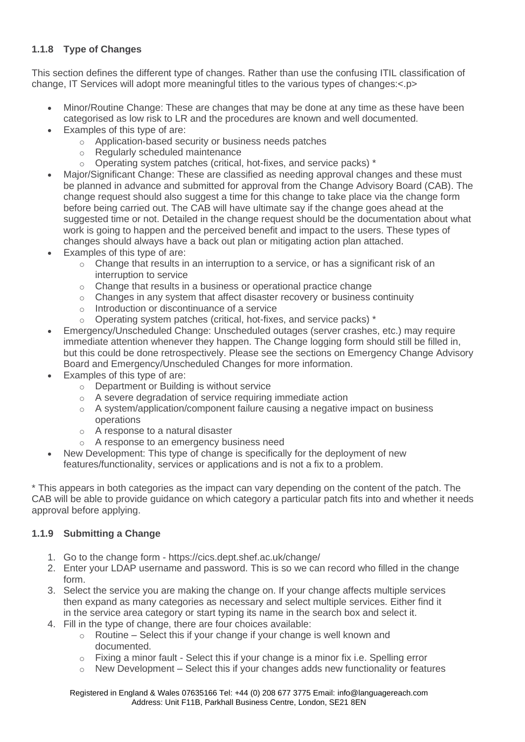# **1.1.8 Type of Changes**

This section defines the different type of changes. Rather than use the confusing ITIL classification of change, IT Services will adopt more meaningful titles to the various types of changes:<.p>

- Minor/Routine Change: These are changes that may be done at any time as these have been categorised as low risk to LR and the procedures are known and well documented.
- Examples of this type of are:
	- o Application-based security or business needs patches
	- o Regularly scheduled maintenance
	- $\circ$  Operating system patches (critical, hot-fixes, and service packs) \*
- Major/Significant Change: These are classified as needing approval changes and these must be planned in advance and submitted for approval from the Change Advisory Board (CAB). The change request should also suggest a time for this change to take place via the change form before being carried out. The CAB will have ultimate say if the change goes ahead at the suggested time or not. Detailed in the change request should be the documentation about what work is going to happen and the perceived benefit and impact to the users. These types of changes should always have a back out plan or mitigating action plan attached.
- Examples of this type of are:
	- o Change that results in an interruption to a service, or has a significant risk of an interruption to service
	- o Change that results in a business or operational practice change
	- $\circ$  Changes in any system that affect disaster recovery or business continuity
	- o Introduction or discontinuance of a service
	- o Operating system patches (critical, hot-fixes, and service packs) \*
- Emergency/Unscheduled Change: Unscheduled outages (server crashes, etc.) may require immediate attention whenever they happen. The Change logging form should still be filled in, but this could be done retrospectively. Please see the sections on Emergency Change Advisory Board and Emergency/Unscheduled Changes for more information.
- Examples of this type of are:
	- o Department or Building is without service
	- o A severe degradation of service requiring immediate action
	- $\circ$  A system/application/component failure causing a negative impact on business operations
	- o A response to a natural disaster
	- o A response to an emergency business need
- New Development: This type of change is specifically for the deployment of new features/functionality, services or applications and is not a fix to a problem.

\* This appears in both categories as the impact can vary depending on the content of the patch. The CAB will be able to provide guidance on which category a particular patch fits into and whether it needs approval before applying.

# **1.1.9 Submitting a Change**

- 1. Go to the change form https://cics.dept.shef.ac.uk/change/
- 2. Enter your LDAP username and password. This is so we can record who filled in the change form.
- 3. Select the service you are making the change on. If your change affects multiple services then expand as many categories as necessary and select multiple services. Either find it in the service area category or start typing its name in the search box and select it.
- 4. Fill in the type of change, there are four choices available:
	- $\circ$  Routine Select this if your change if your change is well known and documented.
	- $\circ$  Fixing a minor fault Select this if your change is a minor fix i.e. Spelling error
	- $\circ$  New Development Select this if your changes adds new functionality or features

Registered in England & Wales 07635166 Tel: +44 (0) 208 677 3775 Email: [info@languagereach.com](mailto:info@languagereach.com) Address: Unit F11B, Parkhall Business Centre, London, SE21 8EN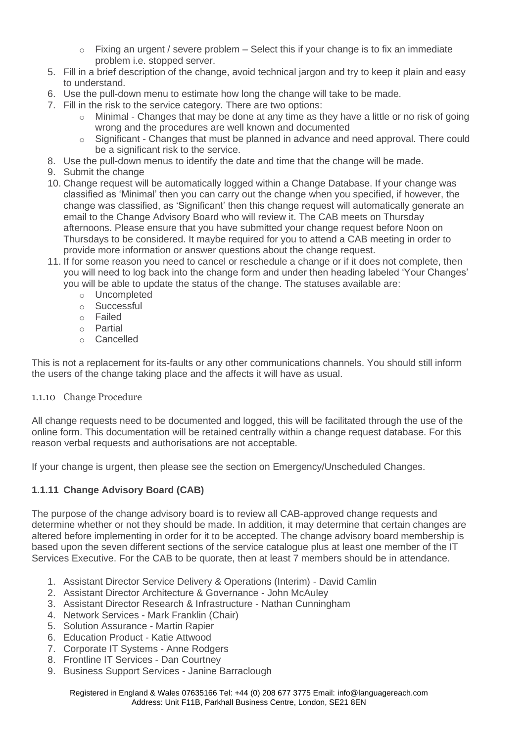- $\circ$  Fixing an urgent / severe problem Select this if your change is to fix an immediate problem i.e. stopped server.
- 5. Fill in a brief description of the change, avoid technical jargon and try to keep it plain and easy to understand.
- 6. Use the pull-down menu to estimate how long the change will take to be made.
- 7. Fill in the risk to the service category. There are two options:
	- $\circ$  Minimal Changes that may be done at any time as they have a little or no risk of going wrong and the procedures are well known and documented
	- $\circ$  Significant Changes that must be planned in advance and need approval. There could be a significant risk to the service.
- 8. Use the pull-down menus to identify the date and time that the change will be made.
- 9. Submit the change
- 10. Change request will be automatically logged within a Change Database. If your change was classified as 'Minimal' then you can carry out the change when you specified, if however, the change was classified, as 'Significant' then this change request will automatically generate an email to the Change Advisory Board who will review it. The CAB meets on Thursday afternoons. Please ensure that you have submitted your change request before Noon on Thursdays to be considered. It maybe required for you to attend a CAB meeting in order to provide more information or answer questions about the change request.
- 11. If for some reason you need to cancel or reschedule a change or if it does not complete, then you will need to log back into the change form and under then heading labeled 'Your Changes' you will be able to update the status of the change. The statuses available are:
	- o Uncompleted
	- o Successful
	- o Failed
	- o Partial
	- o Cancelled

This is not a replacement for its-faults or any other communications channels. You should still inform the users of the change taking place and the affects it will have as usual.

### 1.1.10 Change Procedure

All change requests need to be documented and logged, this will be facilitated through the use of the online form. This documentation will be retained centrally within a change request database. For this reason verbal requests and authorisations are not acceptable.

If your change is urgent, then please see the section on Emergency/Unscheduled Changes.

# **1.1.11 Change Advisory Board (CAB)**

The purpose of the change advisory board is to review all CAB-approved change requests and determine whether or not they should be made. In addition, it may determine that certain changes are altered before implementing in order for it to be accepted. The change advisory board membership is based upon the seven different sections of the service catalogue plus at least one member of the IT Services Executive. For the CAB to be quorate, then at least 7 members should be in attendance.

- 1. Assistant Director Service Delivery & Operations (Interim) David Camlin
- 2. Assistant Director Architecture & Governance John McAuley
- 3. Assistant Director Research & Infrastructure Nathan Cunningham
- 4. Network Services Mark Franklin (Chair)
- 5. Solution Assurance Martin Rapier
- 6. Education Product Katie Attwood
- 7. Corporate IT Systems Anne Rodgers
- 8. Frontline IT Services Dan Courtney
- 9. Business Support Services Janine Barraclough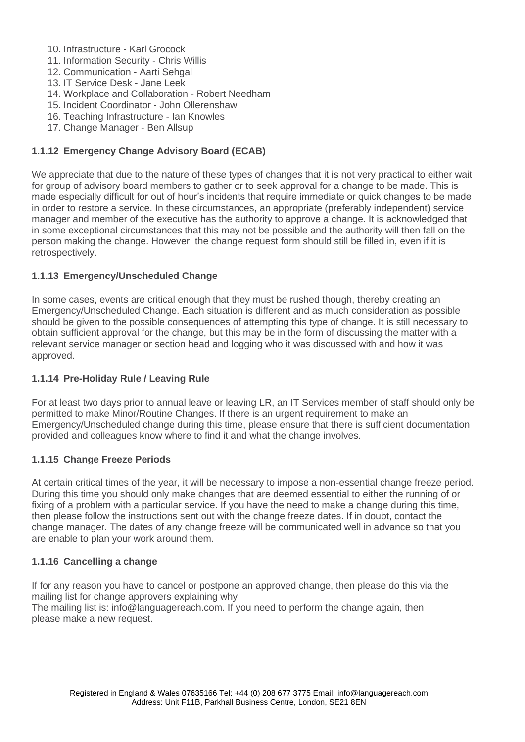- 10. Infrastructure Karl Grocock
- 11. Information Security Chris Willis
- 12. Communication Aarti Sehgal
- 13. IT Service Desk Jane Leek
- 14. Workplace and Collaboration Robert Needham
- 15. Incident Coordinator John Ollerenshaw
- 16. Teaching Infrastructure Ian Knowles
- 17. Change Manager Ben Allsup

# **1.1.12 Emergency Change Advisory Board (ECAB)**

We appreciate that due to the nature of these types of changes that it is not very practical to either wait for group of advisory board members to gather or to seek approval for a change to be made. This is made especially difficult for out of hour's incidents that require immediate or quick changes to be made in order to restore a service. In these circumstances, an appropriate (preferably independent) service manager and member of the executive has the authority to approve a change. It is acknowledged that in some exceptional circumstances that this may not be possible and the authority will then fall on the person making the change. However, the change request form should still be filled in, even if it is retrospectively.

# **1.1.13 Emergency/Unscheduled Change**

In some cases, events are critical enough that they must be rushed though, thereby creating an Emergency/Unscheduled Change. Each situation is different and as much consideration as possible should be given to the possible consequences of attempting this type of change. It is still necessary to obtain sufficient approval for the change, but this may be in the form of discussing the matter with a relevant service manager or section head and logging who it was discussed with and how it was approved.

# **1.1.14 Pre-Holiday Rule / Leaving Rule**

For at least two days prior to annual leave or leaving LR, an IT Services member of staff should only be permitted to make Minor/Routine Changes. If there is an urgent requirement to make an Emergency/Unscheduled change during this time, please ensure that there is sufficient documentation provided and colleagues know where to find it and what the change involves.

# **1.1.15 Change Freeze Periods**

At certain critical times of the year, it will be necessary to impose a non-essential change freeze period. During this time you should only make changes that are deemed essential to either the running of or fixing of a problem with a particular service. If you have the need to make a change during this time, then please follow the instructions sent out with the change freeze dates. If in doubt, contact the change manager. The dates of any change freeze will be communicated well in advance so that you are enable to plan your work around them.

# **1.1.16 Cancelling a change**

If for any reason you have to cancel or postpone an approved change, then please do this via the mailing list for change approvers explaining why.

The mailing list is: info@languagereach.com. If you need to perform the change again, then please make a new request.